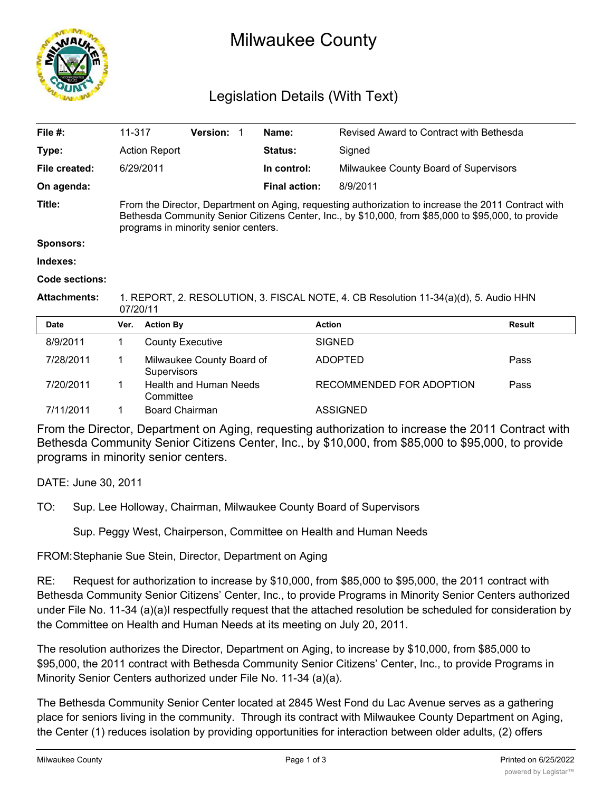

## Milwaukee County

## Legislation Details (With Text)

| File $#$ :            | 11-317                                                                                                                                                                                                                                             |                         | Version: 1                    |  | Name:                | Revised Award to Contract with Bethesda |               |
|-----------------------|----------------------------------------------------------------------------------------------------------------------------------------------------------------------------------------------------------------------------------------------------|-------------------------|-------------------------------|--|----------------------|-----------------------------------------|---------------|
| Type:                 |                                                                                                                                                                                                                                                    | <b>Action Report</b>    |                               |  | Status:              | Signed                                  |               |
| File created:         |                                                                                                                                                                                                                                                    | 6/29/2011               |                               |  | In control:          | Milwaukee County Board of Supervisors   |               |
| On agenda:            |                                                                                                                                                                                                                                                    |                         |                               |  | <b>Final action:</b> | 8/9/2011                                |               |
| Title:                | From the Director, Department on Aging, requesting authorization to increase the 2011 Contract with<br>Bethesda Community Senior Citizens Center, Inc., by \$10,000, from \$85,000 to \$95,000, to provide<br>programs in minority senior centers. |                         |                               |  |                      |                                         |               |
| <b>Sponsors:</b>      |                                                                                                                                                                                                                                                    |                         |                               |  |                      |                                         |               |
| Indexes:              |                                                                                                                                                                                                                                                    |                         |                               |  |                      |                                         |               |
| <b>Code sections:</b> |                                                                                                                                                                                                                                                    |                         |                               |  |                      |                                         |               |
| <b>Attachments:</b>   | 1. REPORT, 2. RESOLUTION, 3. FISCAL NOTE, 4. CB Resolution 11-34(a)(d), 5. Audio HHN<br>07/20/11                                                                                                                                                   |                         |                               |  |                      |                                         |               |
| <b>Date</b>           | Ver.                                                                                                                                                                                                                                               | <b>Action By</b>        |                               |  |                      | <b>Action</b>                           | <b>Result</b> |
| 8/9/2011              | 1.                                                                                                                                                                                                                                                 | <b>County Executive</b> |                               |  |                      | <b>SIGNED</b>                           |               |
| 7/28/2011             | 1                                                                                                                                                                                                                                                  | <b>Supervisors</b>      | Milwaukee County Board of     |  |                      | <b>ADOPTED</b>                          | Pass          |
| 7/20/2011             | 1.                                                                                                                                                                                                                                                 | Committee               | <b>Health and Human Needs</b> |  |                      | RECOMMENDED FOR ADOPTION                | Pass          |
| 7/11/2011             |                                                                                                                                                                                                                                                    | Board Chairman          |                               |  |                      | <b>ASSIGNED</b>                         |               |

From the Director, Department on Aging, requesting authorization to increase the 2011 Contract with Bethesda Community Senior Citizens Center, Inc., by \$10,000, from \$85,000 to \$95,000, to provide programs in minority senior centers.

DATE: June 30, 2011

TO: Sup. Lee Holloway, Chairman, Milwaukee County Board of Supervisors

Sup. Peggy West, Chairperson, Committee on Health and Human Needs

FROM:Stephanie Sue Stein, Director, Department on Aging

RE: Request for authorization to increase by \$10,000, from \$85,000 to \$95,000, the 2011 contract with Bethesda Community Senior Citizens' Center, Inc., to provide Programs in Minority Senior Centers authorized under File No. 11-34 (a)(a)I respectfully request that the attached resolution be scheduled for consideration by the Committee on Health and Human Needs at its meeting on July 20, 2011.

The resolution authorizes the Director, Department on Aging, to increase by \$10,000, from \$85,000 to \$95,000, the 2011 contract with Bethesda Community Senior Citizens' Center, Inc., to provide Programs in Minority Senior Centers authorized under File No. 11-34 (a)(a).

The Bethesda Community Senior Center located at 2845 West Fond du Lac Avenue serves as a gathering place for seniors living in the community. Through its contract with Milwaukee County Department on Aging, the Center (1) reduces isolation by providing opportunities for interaction between older adults, (2) offers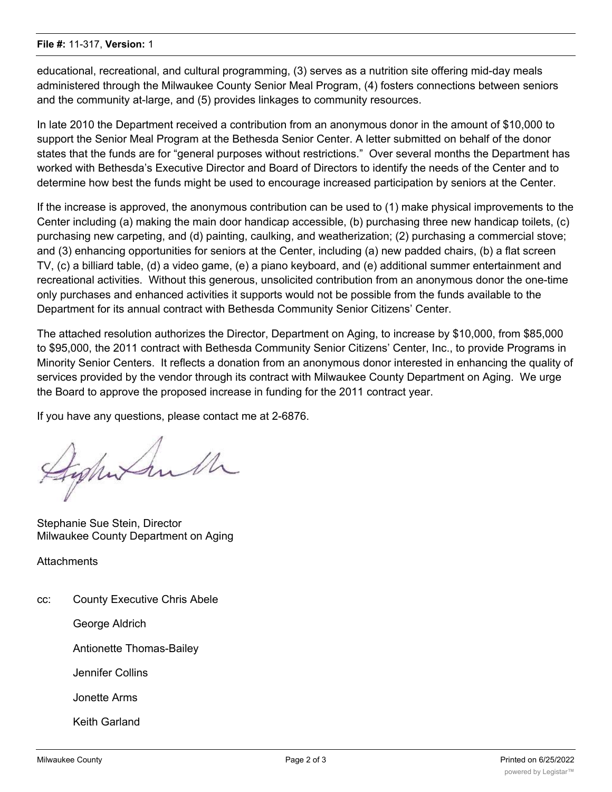## **File #:** 11-317, **Version:** 1

educational, recreational, and cultural programming, (3) serves as a nutrition site offering mid-day meals administered through the Milwaukee County Senior Meal Program, (4) fosters connections between seniors and the community at-large, and (5) provides linkages to community resources.

In late 2010 the Department received a contribution from an anonymous donor in the amount of \$10,000 to support the Senior Meal Program at the Bethesda Senior Center. A letter submitted on behalf of the donor states that the funds are for "general purposes without restrictions." Over several months the Department has worked with Bethesda's Executive Director and Board of Directors to identify the needs of the Center and to determine how best the funds might be used to encourage increased participation by seniors at the Center.

If the increase is approved, the anonymous contribution can be used to (1) make physical improvements to the Center including (a) making the main door handicap accessible, (b) purchasing three new handicap toilets, (c) purchasing new carpeting, and (d) painting, caulking, and weatherization; (2) purchasing a commercial stove; and (3) enhancing opportunities for seniors at the Center, including (a) new padded chairs, (b) a flat screen TV, (c) a billiard table, (d) a video game, (e) a piano keyboard, and (e) additional summer entertainment and recreational activities. Without this generous, unsolicited contribution from an anonymous donor the one-time only purchases and enhanced activities it supports would not be possible from the funds available to the Department for its annual contract with Bethesda Community Senior Citizens' Center.

The attached resolution authorizes the Director, Department on Aging, to increase by \$10,000, from \$85,000 to \$95,000, the 2011 contract with Bethesda Community Senior Citizens' Center, Inc., to provide Programs in Minority Senior Centers. It reflects a donation from an anonymous donor interested in enhancing the quality of services provided by the vendor through its contract with Milwaukee County Department on Aging. We urge the Board to approve the proposed increase in funding for the 2011 contract year.

If you have any questions, please contact me at 2-6876.

Jeghet Sulh

Stephanie Sue Stein, Director Milwaukee County Department on Aging

**Attachments** 

cc: County Executive Chris Abele

George Aldrich

Antionette Thomas-Bailey

Jennifer Collins

Jonette Arms

Keith Garland